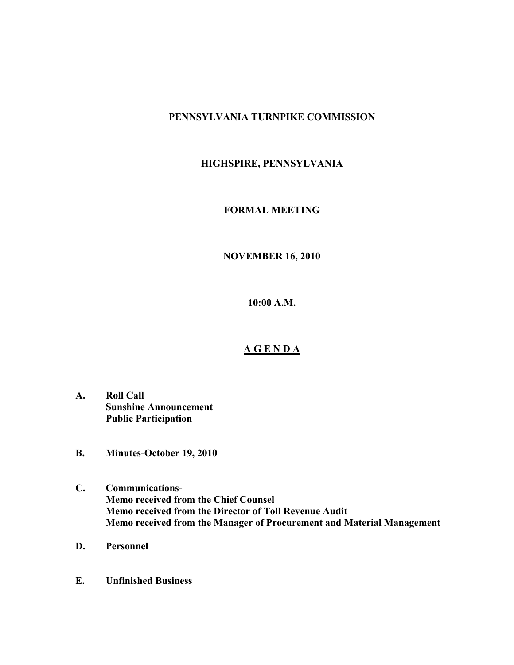# **PENNSYLVANIA TURNPIKE COMMISSION**

# **HIGHSPIRE, PENNSYLVANIA**

## **FORMAL MEETING**

# **NOVEMBER 16, 2010**

**10:00 A.M.**

### **A G E N D A**

- **A. Roll Call Sunshine Announcement Public Participation**
- **B. Minutes-October 19, 2010**
- **C. Communications-Memo received from the Chief Counsel Memo received from the Director of Toll Revenue Audit Memo received from the Manager of Procurement and Material Management**
- **D. Personnel**
- **E. Unfinished Business**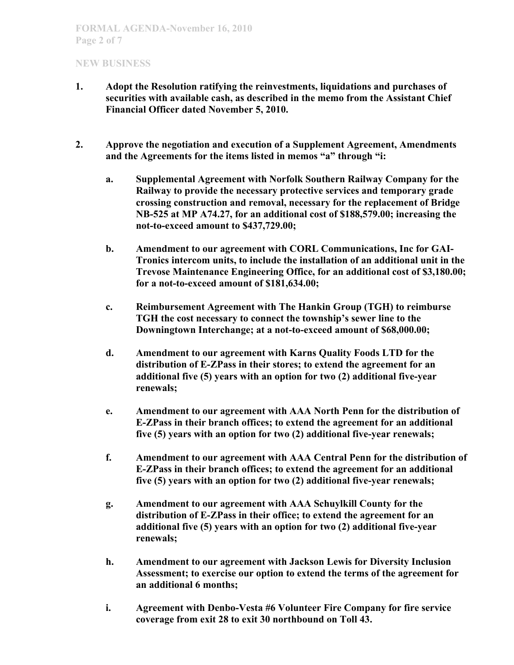- **1. Adopt the Resolution ratifying the reinvestments, liquidations and purchases of securities with available cash, as described in the memo from the Assistant Chief Financial Officer dated November 5, 2010.**
- **2. Approve the negotiation and execution of a Supplement Agreement, Amendments and the Agreements for the items listed in memos "a" through "i:**
	- **a. Supplemental Agreement with Norfolk Southern Railway Company for the Railway to provide the necessary protective services and temporary grade crossing construction and removal, necessary for the replacement of Bridge NB-525 at MP A74.27, for an additional cost of \$188,579.00; increasing the not-to-exceed amount to \$437,729.00;**
	- **b. Amendment to our agreement with CORL Communications, Inc for GAI-Tronics intercom units, to include the installation of an additional unit in the Trevose Maintenance Engineering Office, for an additional cost of \$3,180.00; for a not-to-exceed amount of \$181,634.00;**
	- **c. Reimbursement Agreement with The Hankin Group (TGH) to reimburse TGH the cost necessary to connect the township's sewer line to the Downingtown Interchange; at a not-to-exceed amount of \$68,000.00;**
	- **d. Amendment to our agreement with Karns Quality Foods LTD for the distribution of E-ZPass in their stores; to extend the agreement for an additional five (5) years with an option for two (2) additional five-year renewals;**
	- **e. Amendment to our agreement with AAA North Penn for the distribution of E-ZPass in their branch offices; to extend the agreement for an additional five (5) years with an option for two (2) additional five-year renewals;**
	- **f. Amendment to our agreement with AAA Central Penn for the distribution of E-ZPass in their branch offices; to extend the agreement for an additional five (5) years with an option for two (2) additional five-year renewals;**
	- **g. Amendment to our agreement with AAA Schuylkill County for the distribution of E-ZPass in their office; to extend the agreement for an additional five (5) years with an option for two (2) additional five-year renewals;**
	- **h. Amendment to our agreement with Jackson Lewis for Diversity Inclusion Assessment; to exercise our option to extend the terms of the agreement for an additional 6 months;**
	- **i. Agreement with Denbo-Vesta #6 Volunteer Fire Company for fire service coverage from exit 28 to exit 30 northbound on Toll 43.**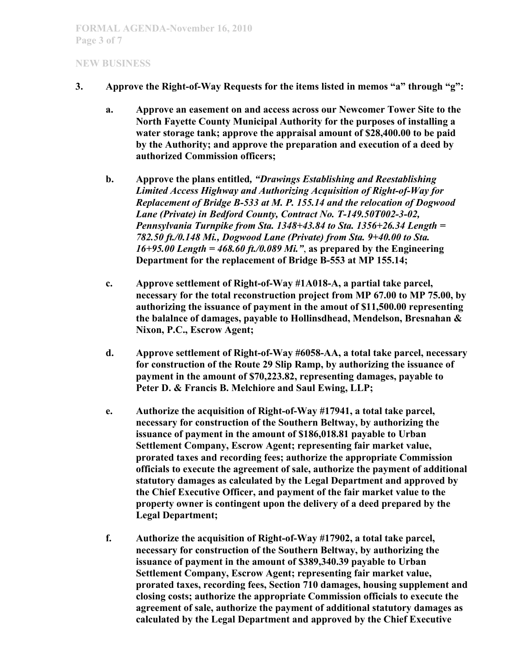- **3. Approve the Right-of-Way Requests for the items listed in memos "a" through "g":**
	- **a. Approve an easement on and access across our Newcomer Tower Site to the North Fayette County Municipal Authority for the purposes of installing a water storage tank; approve the appraisal amount of \$28,400.00 to be paid by the Authority; and approve the preparation and execution of a deed by authorized Commission officers;**
	- **b. Approve the plans entitled***, "Drawings Establishing and Reestablishing Limited Access Highway and Authorizing Acquisition of Right-of-Way for Replacement of Bridge B-533 at M. P. 155.14 and the relocation of Dogwood Lane (Private) in Bedford County, Contract No. T-149.50T002-3-02, Pennsylvania Turnpike from Sta. 1348+43.84 to Sta. 1356+26.34 Length = 782.50 ft./0.148 Mi., Dogwood Lane (Private) from Sta. 9+40.00 to Sta. 16+95.00 Length = 468.60 ft./0.089 Mi."*, **as prepared by the Engineering Department for the replacement of Bridge B-553 at MP 155.14;**
	- **c. Approve settlement of Right-of-Way #1A018-A, a partial take parcel, necessary for the total reconstruction project from MP 67.00 to MP 75.00, by authorizing the issuance of payment in the amout of \$11,500.00 representing the balalnce of damages, payable to Hollinsdhead, Mendelson, Bresnahan & Nixon, P.C., Escrow Agent;**
	- **d. Approve settlement of Right-of-Way #6058-AA, a total take parcel, necessary for construction of the Route 29 Slip Ramp, by authorizing the issuance of payment in the amount of \$70,223.82, representing damages, payable to Peter D. & Francis B. Melchiore and Saul Ewing, LLP;**
	- **e. Authorize the acquisition of Right-of-Way #17941, a total take parcel, necessary for construction of the Southern Beltway, by authorizing the issuance of payment in the amount of \$186,018.81 payable to Urban Settlement Company, Escrow Agent; representing fair market value, prorated taxes and recording fees; authorize the appropriate Commission officials to execute the agreement of sale, authorize the payment of additional statutory damages as calculated by the Legal Department and approved by the Chief Executive Officer, and payment of the fair market value to the property owner is contingent upon the delivery of a deed prepared by the Legal Department;**
	- **f. Authorize the acquisition of Right-of-Way #17902, a total take parcel, necessary for construction of the Southern Beltway, by authorizing the issuance of payment in the amount of \$389,340.39 payable to Urban Settlement Company, Escrow Agent; representing fair market value, prorated taxes, recording fees, Section 710 damages, housing supplement and closing costs; authorize the appropriate Commission officials to execute the agreement of sale, authorize the payment of additional statutory damages as calculated by the Legal Department and approved by the Chief Executive**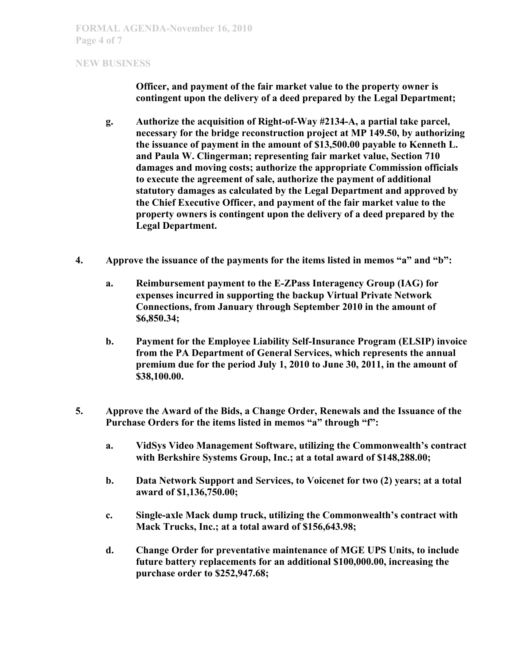**Officer, and payment of the fair market value to the property owner is contingent upon the delivery of a deed prepared by the Legal Department;**

- **g. Authorize the acquisition of Right-of-Way #2134-A, a partial take parcel, necessary for the bridge reconstruction project at MP 149.50, by authorizing the issuance of payment in the amount of \$13,500.00 payable to Kenneth L. and Paula W. Clingerman; representing fair market value, Section 710 damages and moving costs; authorize the appropriate Commission officials to execute the agreement of sale, authorize the payment of additional statutory damages as calculated by the Legal Department and approved by the Chief Executive Officer, and payment of the fair market value to the property owners is contingent upon the delivery of a deed prepared by the Legal Department.**
- **4. Approve the issuance of the payments for the items listed in memos "a" and "b":**
	- **a. Reimbursement payment to the E-ZPass Interagency Group (IAG) for expenses incurred in supporting the backup Virtual Private Network Connections, from January through September 2010 in the amount of \$6,850.34;**
	- **b. Payment for the Employee Liability Self-Insurance Program (ELSIP) invoice from the PA Department of General Services, which represents the annual premium due for the period July 1, 2010 to June 30, 2011, in the amount of \$38,100.00.**
- **5. Approve the Award of the Bids, a Change Order, Renewals and the Issuance of the Purchase Orders for the items listed in memos "a" through "f":**
	- **a. VidSys Video Management Software, utilizing the Commonwealth's contract with Berkshire Systems Group, Inc.; at a total award of \$148,288.00;**
	- **b. Data Network Support and Services, to Voicenet for two (2) years; at a total award of \$1,136,750.00;**
	- **c. Single-axle Mack dump truck, utilizing the Commonwealth's contract with Mack Trucks, Inc.; at a total award of \$156,643.98;**
	- **d. Change Order for preventative maintenance of MGE UPS Units, to include future battery replacements for an additional \$100,000.00, increasing the purchase order to \$252,947.68;**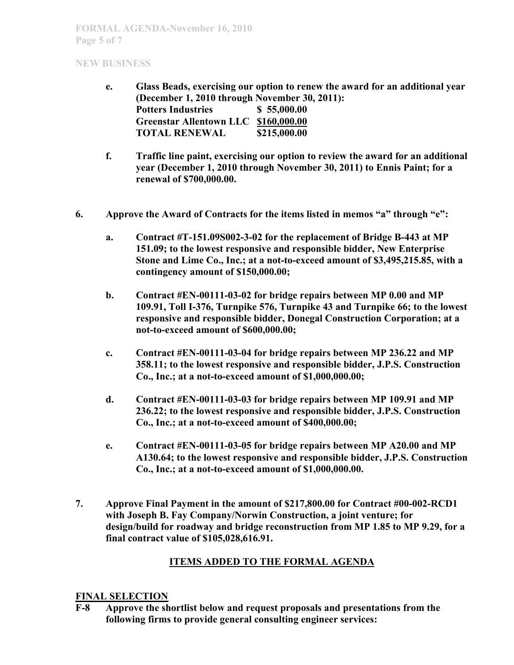- **e. Glass Beads, exercising our option to renew the award for an additional year (December 1, 2010 through November 30, 2011): Potters Industries \$ 55,000.00 Greenstar Allentown LLC \$160,000.00 TOTAL RENEWAL \$215,000.00**
- **f. Traffic line paint, exercising our option to review the award for an additional year (December 1, 2010 through November 30, 2011) to Ennis Paint; for a renewal of \$700,000.00.**
- **6. Approve the Award of Contracts for the items listed in memos "a" through "e":**
	- **a. Contract #T-151.09S002-3-02 for the replacement of Bridge B-443 at MP 151.09; to the lowest responsive and responsible bidder, New Enterprise Stone and Lime Co., Inc.; at a not-to-exceed amount of \$3,495,215.85, with a contingency amount of \$150,000.00;**
	- **b. Contract #EN-00111-03-02 for bridge repairs between MP 0.00 and MP 109.91, Toll I-376, Turnpike 576, Turnpike 43 and Turnpike 66; to the lowest responsive and responsible bidder, Donegal Construction Corporation; at a not-to-exceed amount of \$600,000.00;**
	- **c. Contract #EN-00111-03-04 for bridge repairs between MP 236.22 and MP 358.11; to the lowest responsive and responsible bidder, J.P.S. Construction Co., Inc.; at a not-to-exceed amount of \$1,000,000.00;**
	- **d. Contract #EN-00111-03-03 for bridge repairs between MP 109.91 and MP 236.22; to the lowest responsive and responsible bidder, J.P.S. Construction Co., Inc.; at a not-to-exceed amount of \$400,000.00;**
	- **e. Contract #EN-00111-03-05 for bridge repairs between MP A20.00 and MP A130.64; to the lowest responsive and responsible bidder, J.P.S. Construction Co., Inc.; at a not-to-exceed amount of \$1,000,000.00.**
- **7. Approve Final Payment in the amount of \$217,800.00 for Contract #00-002-RCD1 with Joseph B. Fay Company/Norwin Construction, a joint venture; for design/build for roadway and bridge reconstruction from MP 1.85 to MP 9.29, for a final contract value of \$105,028,616.91.**

# **ITEMS ADDED TO THE FORMAL AGENDA**

### **FINAL SELECTION**

**F-8 Approve the shortlist below and request proposals and presentations from the following firms to provide general consulting engineer services:**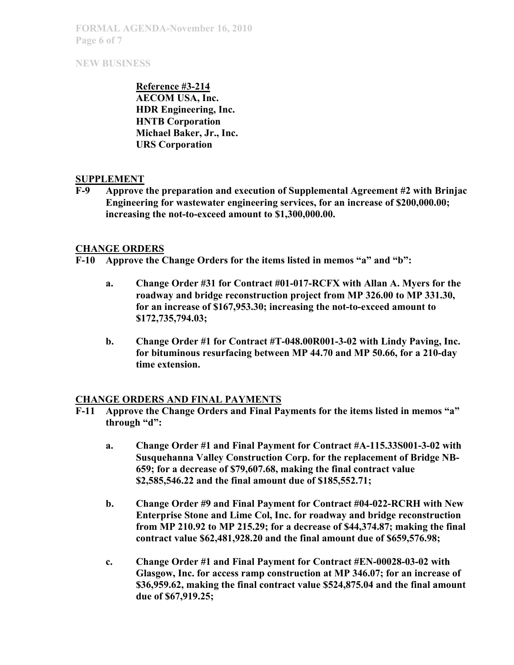**FORMAL AGENDA-November 16, 2010 Page 6 of 7**

## **NEW BUSINESS**

**Reference #3-214 AECOM USA, Inc. HDR Engineering, Inc. HNTB Corporation Michael Baker, Jr., Inc. URS Corporation**

### **SUPPLEMENT**

**F-9 Approve the preparation and execution of Supplemental Agreement #2 with Brinjac Engineering for wastewater engineering services, for an increase of \$200,000.00; increasing the not-to-exceed amount to \$1,300,000.00.**

### **CHANGE ORDERS**

- **F-10 Approve the Change Orders for the items listed in memos "a" and "b":**
	- **a. Change Order #31 for Contract #01-017-RCFX with Allan A. Myers for the roadway and bridge reconstruction project from MP 326.00 to MP 331.30, for an increase of \$167,953.30; increasing the not-to-exceed amount to \$172,735,794.03;**
	- **b. Change Order #1 for Contract #T-048.00R001-3-02 with Lindy Paving, Inc. for bituminous resurfacing between MP 44.70 and MP 50.66, for a 210-day time extension.**

### **CHANGE ORDERS AND FINAL PAYMENTS**

- **F-11 Approve the Change Orders and Final Payments for the items listed in memos "a" through "d":**
	- **a. Change Order #1 and Final Payment for Contract #A-115.33S001-3-02 with Susquehanna Valley Construction Corp. for the replacement of Bridge NB-659; for a decrease of \$79,607.68, making the final contract value \$2,585,546.22 and the final amount due of \$185,552.71;**
	- **b. Change Order #9 and Final Payment for Contract #04-022-RCRH with New Enterprise Stone and Lime Col, Inc. for roadway and bridge reconstruction from MP 210.92 to MP 215.29; for a decrease of \$44,374.87; making the final contract value \$62,481,928.20 and the final amount due of \$659,576.98;**
	- **c. Change Order #1 and Final Payment for Contract #EN-00028-03-02 with Glasgow, Inc. for access ramp construction at MP 346.07; for an increase of \$36,959.62, making the final contract value \$524,875.04 and the final amount due of \$67,919.25;**